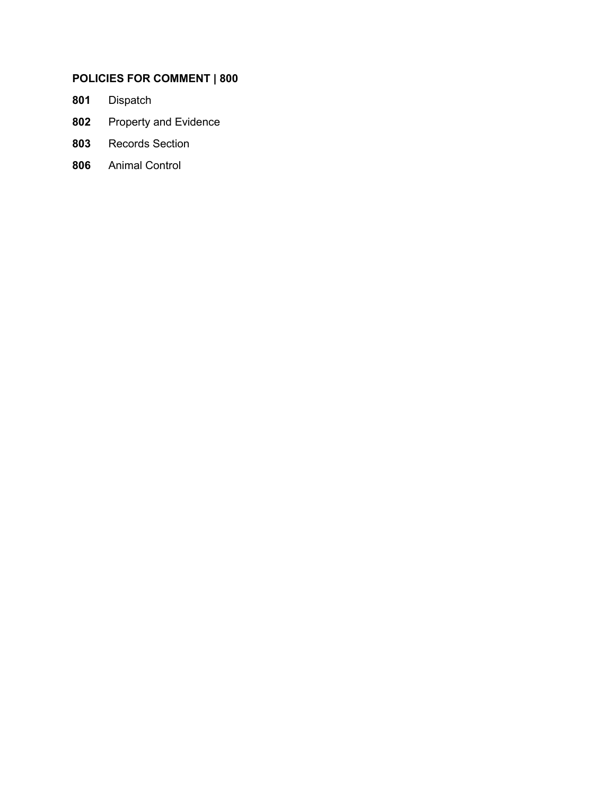## **POLICIES FOR COMMENT | 800**

- [Dispatch](#page-1-0)
- [Property and Evidence](#page-7-0)
- [Records Section](#page-16-0)
- [Animal Control](#page-19-0)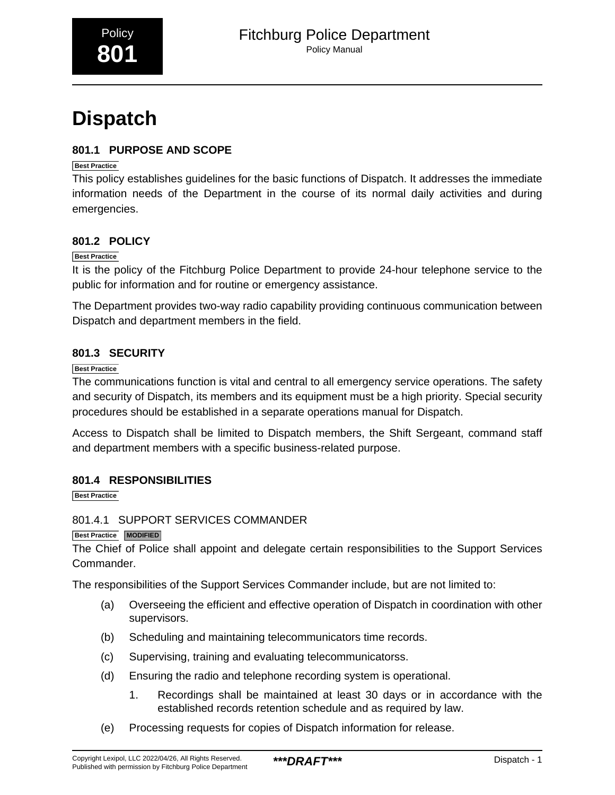# <span id="page-1-0"></span>**Dispatch**

## **801.1 PURPOSE AND SCOPE**

## **Best Practice**

This policy establishes guidelines for the basic functions of Dispatch. It addresses the immediate information needs of the Department in the course of its normal daily activities and during emergencies.

## **801.2 POLICY**

## **Best Practice**

It is the policy of the Fitchburg Police Department to provide 24-hour telephone service to the public for information and for routine or emergency assistance.

The Department provides two-way radio capability providing continuous communication between Dispatch and department members in the field.

## **801.3 SECURITY**

## **Best Practice**

The communications function is vital and central to all emergency service operations. The safety and security of Dispatch, its members and its equipment must be a high priority. Special security procedures should be established in a separate operations manual for Dispatch.

Access to Dispatch shall be limited to Dispatch members, the Shift Sergeant, command staff and department members with a specific business-related purpose.

## **801.4 RESPONSIBILITIES**

**Best Practice**

## 801.4.1 SUPPORT SERVICES COMMANDER

## **Best Practice MODIFIED**

The Chief of Police shall appoint and delegate certain responsibilities to the Support Services Commander.

The responsibilities of the Support Services Commander include, but are not limited to:

- (a) Overseeing the efficient and effective operation of Dispatch in coordination with other supervisors.
- (b) Scheduling and maintaining telecommunicators time records.
- (c) Supervising, training and evaluating telecommunicatorss.
- (d) Ensuring the radio and telephone recording system is operational.
	- 1. Recordings shall be maintained at least 30 days or in accordance with the established records retention schedule and as required by law.
- (e) Processing requests for copies of Dispatch information for release.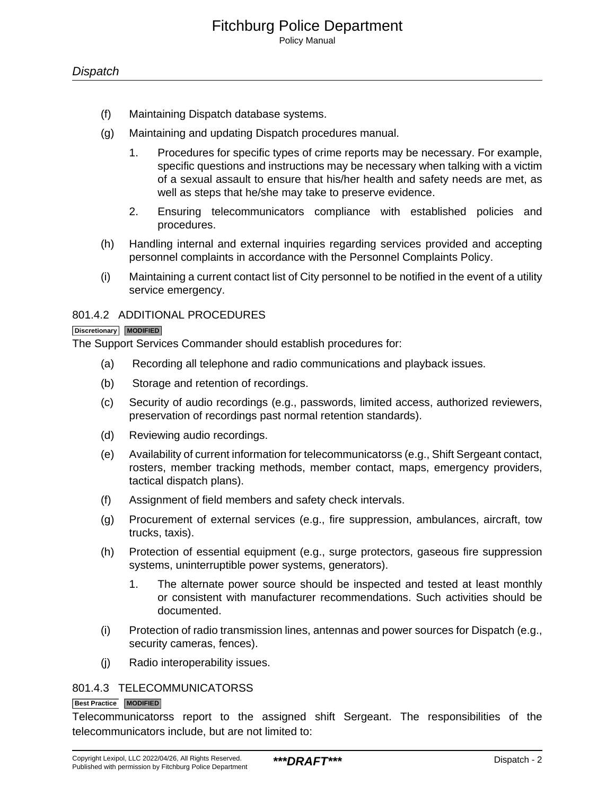- (f) Maintaining Dispatch database systems.
- (g) Maintaining and updating Dispatch procedures manual.
	- 1. Procedures for specific types of crime reports may be necessary. For example, specific questions and instructions may be necessary when talking with a victim of a sexual assault to ensure that his/her health and safety needs are met, as well as steps that he/she may take to preserve evidence.
	- 2. Ensuring telecommunicators compliance with established policies and procedures.
- (h) Handling internal and external inquiries regarding services provided and accepting personnel complaints in accordance with the Personnel Complaints Policy.
- (i) Maintaining a current contact list of City personnel to be notified in the event of a utility service emergency.

#### 801.4.2 ADDITIONAL PROCEDURES

#### **Discretionary MODIFIED**

The Support Services Commander should establish procedures for:

- (a) Recording all telephone and radio communications and playback issues.
- (b) Storage and retention of recordings.
- (c) Security of audio recordings (e.g., passwords, limited access, authorized reviewers, preservation of recordings past normal retention standards).
- (d) Reviewing audio recordings.
- (e) Availability of current information for telecommunicatorss (e.g., Shift Sergeant contact, rosters, member tracking methods, member contact, maps, emergency providers, tactical dispatch plans).
- (f) Assignment of field members and safety check intervals.
- (g) Procurement of external services (e.g., fire suppression, ambulances, aircraft, tow trucks, taxis).
- (h) Protection of essential equipment (e.g., surge protectors, gaseous fire suppression systems, uninterruptible power systems, generators).
	- 1. The alternate power source should be inspected and tested at least monthly or consistent with manufacturer recommendations. Such activities should be documented.
- (i) Protection of radio transmission lines, antennas and power sources for Dispatch (e.g., security cameras, fences).
- (j) Radio interoperability issues.

#### 801.4.3 TELECOMMUNICATORSS

#### **Best Practice MODIFIED**

Telecommunicatorss report to the assigned shift Sergeant. The responsibilities of the telecommunicators include, but are not limited to: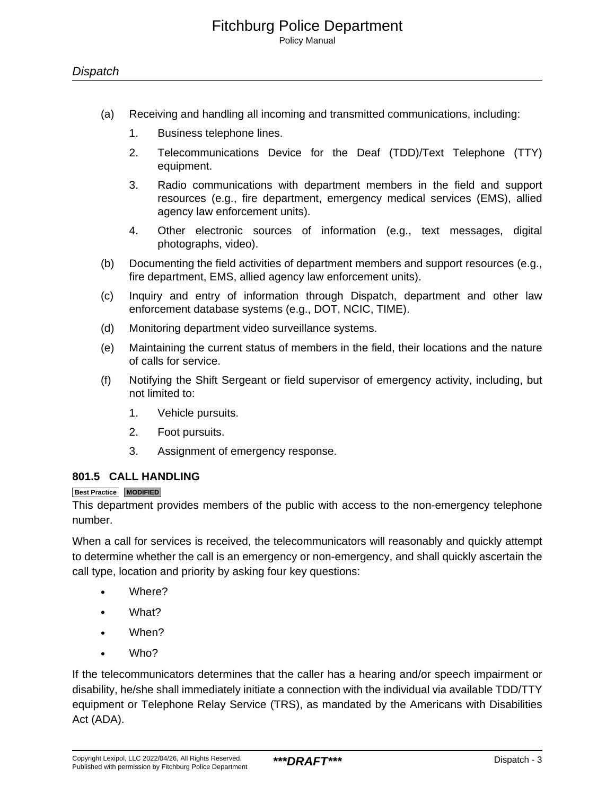- (a) Receiving and handling all incoming and transmitted communications, including:
	- 1. Business telephone lines.
	- 2. Telecommunications Device for the Deaf (TDD)/Text Telephone (TTY) equipment.
	- 3. Radio communications with department members in the field and support resources (e.g., fire department, emergency medical services (EMS), allied agency law enforcement units).
	- 4. Other electronic sources of information (e.g., text messages, digital photographs, video).
- (b) Documenting the field activities of department members and support resources (e.g., fire department, EMS, allied agency law enforcement units).
- (c) Inquiry and entry of information through Dispatch, department and other law enforcement database systems (e.g., DOT, NCIC, TIME).
- (d) Monitoring department video surveillance systems.
- (e) Maintaining the current status of members in the field, their locations and the nature of calls for service.
- (f) Notifying the Shift Sergeant or field supervisor of emergency activity, including, but not limited to:
	- 1. Vehicle pursuits.
	- 2. Foot pursuits.
	- 3. Assignment of emergency response.

## **801.5 CALL HANDLING**

#### **Best Practice MODIFIED**

This department provides members of the public with access to the non-emergency telephone number.

When a call for services is received, the telecommunicators will reasonably and quickly attempt to determine whether the call is an emergency or non-emergency, and shall quickly ascertain the call type, location and priority by asking four key questions:

- Where?
- What?
- When?
- Who?

If the telecommunicators determines that the caller has a hearing and/or speech impairment or disability, he/she shall immediately initiate a connection with the individual via available TDD/TTY equipment or Telephone Relay Service (TRS), as mandated by the Americans with Disabilities Act (ADA).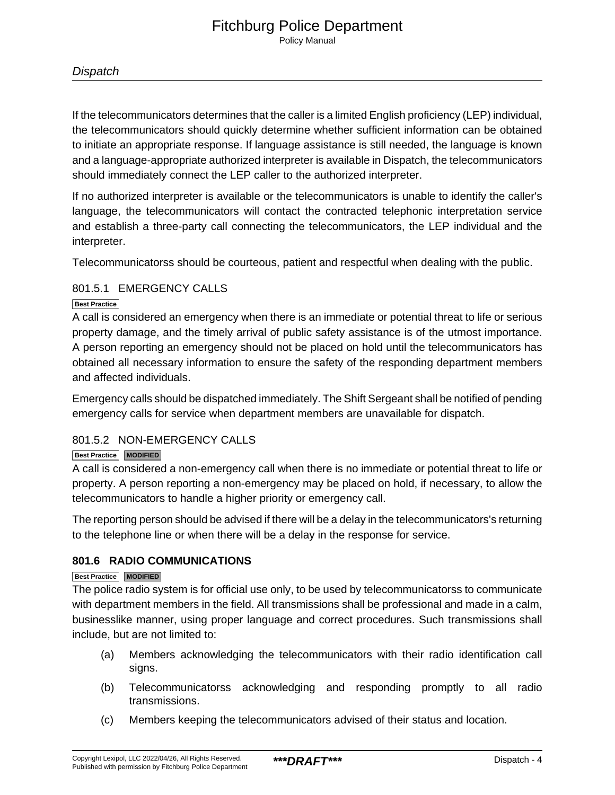## **Dispatch**

If the telecommunicators determines that the caller is a limited English proficiency (LEP) individual, the telecommunicators should quickly determine whether sufficient information can be obtained to initiate an appropriate response. If language assistance is still needed, the language is known and a language-appropriate authorized interpreter is available in Dispatch, the telecommunicators should immediately connect the LEP caller to the authorized interpreter.

If no authorized interpreter is available or the telecommunicators is unable to identify the caller's language, the telecommunicators will contact the contracted telephonic interpretation service and establish a three-party call connecting the telecommunicators, the LEP individual and the interpreter.

Telecommunicatorss should be courteous, patient and respectful when dealing with the public.

## 801.5.1 EMERGENCY CALLS

#### **Best Practice**

A call is considered an emergency when there is an immediate or potential threat to life or serious property damage, and the timely arrival of public safety assistance is of the utmost importance. A person reporting an emergency should not be placed on hold until the telecommunicators has obtained all necessary information to ensure the safety of the responding department members and affected individuals.

Emergency calls should be dispatched immediately. The Shift Sergeant shall be notified of pending emergency calls for service when department members are unavailable for dispatch.

#### 801.5.2 NON-EMERGENCY CALLS

#### **Best Practice MODIFIED**

A call is considered a non-emergency call when there is no immediate or potential threat to life or property. A person reporting a non-emergency may be placed on hold, if necessary, to allow the telecommunicators to handle a higher priority or emergency call.

The reporting person should be advised if there will be a delay in the telecommunicators's returning to the telephone line or when there will be a delay in the response for service.

#### **801.6 RADIO COMMUNICATIONS**

#### **Best Practice MODIFIED**

The police radio system is for official use only, to be used by telecommunicatorss to communicate with department members in the field. All transmissions shall be professional and made in a calm, businesslike manner, using proper language and correct procedures. Such transmissions shall include, but are not limited to:

- (a) Members acknowledging the telecommunicators with their radio identification call signs.
- (b) Telecommunicatorss acknowledging and responding promptly to all radio transmissions.
- (c) Members keeping the telecommunicators advised of their status and location.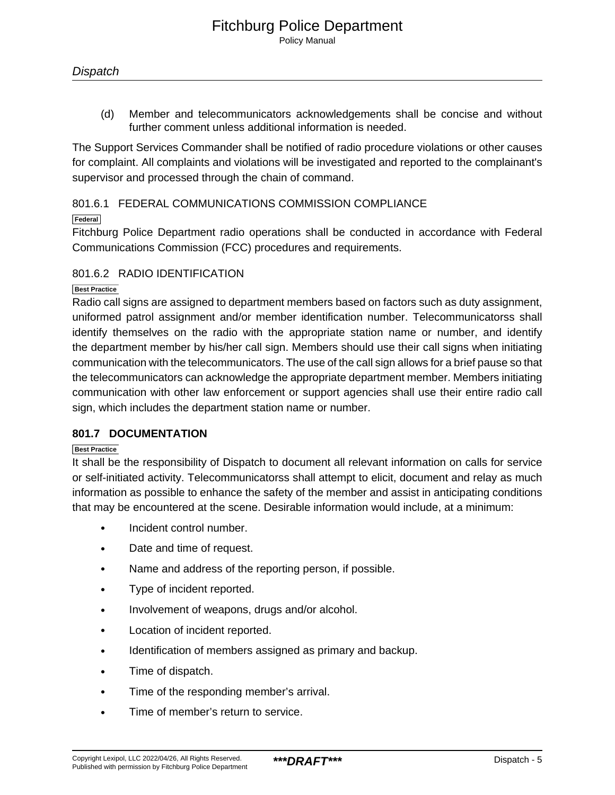(d) Member and telecommunicators acknowledgements shall be concise and without further comment unless additional information is needed.

The Support Services Commander shall be notified of radio procedure violations or other causes for complaint. All complaints and violations will be investigated and reported to the complainant's supervisor and processed through the chain of command.

801.6.1 FEDERAL COMMUNICATIONS COMMISSION COMPLIANCE

#### **Federal**

Fitchburg Police Department radio operations shall be conducted in accordance with Federal Communications Commission (FCC) procedures and requirements.

## 801.6.2 RADIO IDENTIFICATION

#### **Best Practice**

Radio call signs are assigned to department members based on factors such as duty assignment, uniformed patrol assignment and/or member identification number. Telecommunicatorss shall identify themselves on the radio with the appropriate station name or number, and identify the department member by his/her call sign. Members should use their call signs when initiating communication with the telecommunicators. The use of the call sign allows for a brief pause so that the telecommunicators can acknowledge the appropriate department member. Members initiating communication with other law enforcement or support agencies shall use their entire radio call sign, which includes the department station name or number.

## **801.7 DOCUMENTATION**

#### **Best Practice**

It shall be the responsibility of Dispatch to document all relevant information on calls for service or self-initiated activity. Telecommunicatorss shall attempt to elicit, document and relay as much information as possible to enhance the safety of the member and assist in anticipating conditions that may be encountered at the scene. Desirable information would include, at a minimum:

- Incident control number.
- Date and time of request.
- Name and address of the reporting person, if possible.
- Type of incident reported.
- Involvement of weapons, drugs and/or alcohol.
- Location of incident reported.
- Identification of members assigned as primary and backup.
- Time of dispatch.
- Time of the responding member's arrival.
- Time of member's return to service.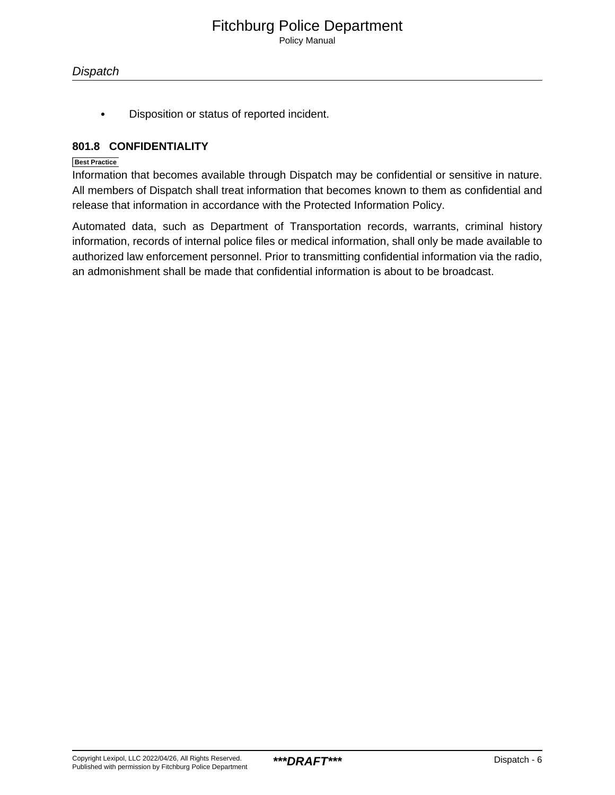Policy Manual

• Disposition or status of reported incident.

## **801.8 CONFIDENTIALITY**

#### **Best Practice**

Information that becomes available through Dispatch may be confidential or sensitive in nature. All members of Dispatch shall treat information that becomes known to them as confidential and release that information in accordance with the Protected Information Policy.

Automated data, such as Department of Transportation records, warrants, criminal history information, records of internal police files or medical information, shall only be made available to authorized law enforcement personnel. Prior to transmitting confidential information via the radio, an admonishment shall be made that confidential information is about to be broadcast.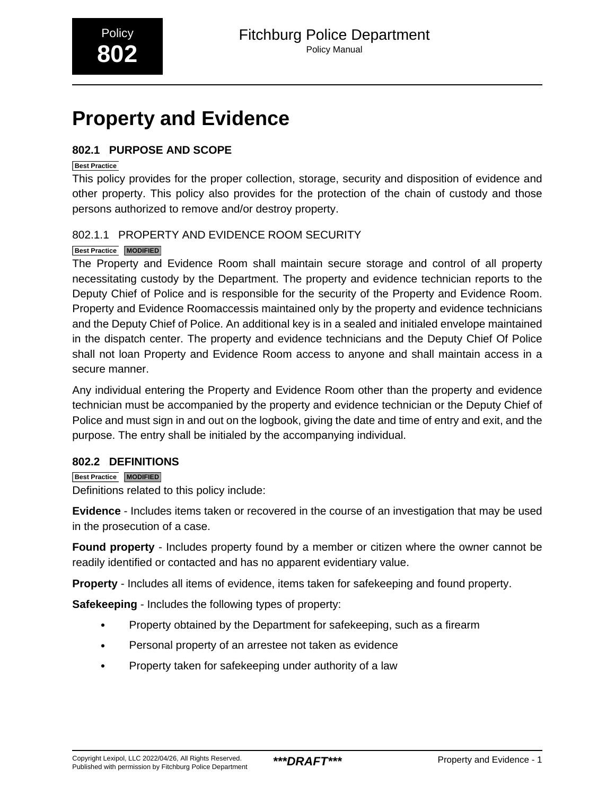# <span id="page-7-0"></span>**Property and Evidence**

## **802.1 PURPOSE AND SCOPE**

#### **Best Practice**

This policy provides for the proper collection, storage, security and disposition of evidence and other property. This policy also provides for the protection of the chain of custody and those persons authorized to remove and/or destroy property.

## 802.1.1 PROPERTY AND EVIDENCE ROOM SECURITY

#### **Best Practice MODIFIED**

The Property and Evidence Room shall maintain secure storage and control of all property necessitating custody by the Department. The property and evidence technician reports to the Deputy Chief of Police and is responsible for the security of the Property and Evidence Room. Property and Evidence Roomaccessis maintained only by the property and evidence technicians and the Deputy Chief of Police. An additional key is in a sealed and initialed envelope maintained in the dispatch center. The property and evidence technicians and the Deputy Chief Of Police shall not loan Property and Evidence Room access to anyone and shall maintain access in a secure manner.

Any individual entering the Property and Evidence Room other than the property and evidence technician must be accompanied by the property and evidence technician or the Deputy Chief of Police and must sign in and out on the logbook, giving the date and time of entry and exit, and the purpose. The entry shall be initialed by the accompanying individual.

## **802.2 DEFINITIONS**

#### **Best Practice MODIFIED**

Definitions related to this policy include:

**Evidence** - Includes items taken or recovered in the course of an investigation that may be used in the prosecution of a case.

**Found property** - Includes property found by a member or citizen where the owner cannot be readily identified or contacted and has no apparent evidentiary value.

**Property** - Includes all items of evidence, items taken for safekeeping and found property.

**Safekeeping** - Includes the following types of property:

- Property obtained by the Department for safekeeping, such as a firearm
- Personal property of an arrestee not taken as evidence
- Property taken for safekeeping under authority of a law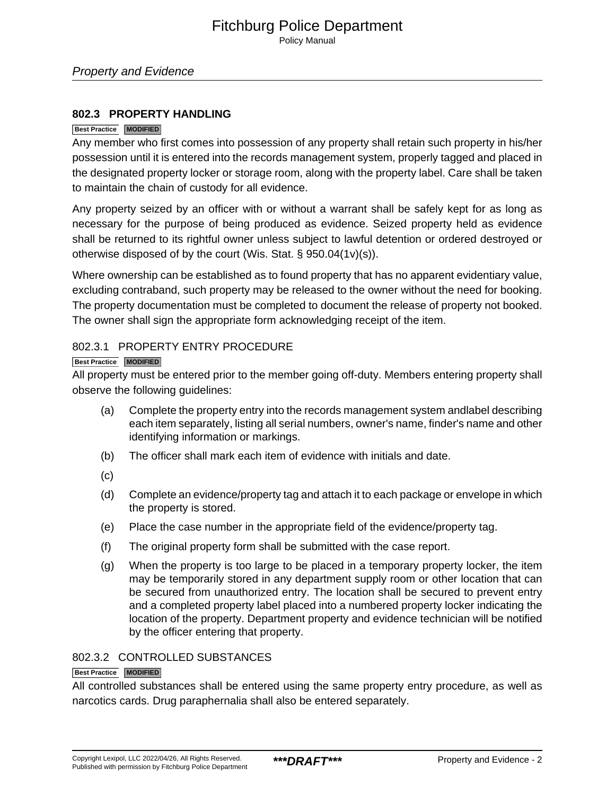Policy Manual

## **802.3 PROPERTY HANDLING**

#### **Best Practice MODIFIED**

Any member who first comes into possession of any property shall retain such property in his/her possession until it is entered into the records management system, properly tagged and placed in the designated property locker or storage room, along with the property label. Care shall be taken to maintain the chain of custody for all evidence.

Any property seized by an officer with or without a warrant shall be safely kept for as long as necessary for the purpose of being produced as evidence. Seized property held as evidence shall be returned to its rightful owner unless subject to lawful detention or ordered destroyed or otherwise disposed of by the court (Wis. Stat. § 950.04(1v)(s)).

Where ownership can be established as to found property that has no apparent evidentiary value, excluding contraband, such property may be released to the owner without the need for booking. The property documentation must be completed to document the release of property not booked. The owner shall sign the appropriate form acknowledging receipt of the item.

#### 802.3.1 PROPERTY ENTRY PROCEDURE

#### **Best Practice MODIFIED**

All property must be entered prior to the member going off-duty. Members entering property shall observe the following guidelines:

- (a) Complete the property entry into the records management system andlabel describing each item separately, listing all serial numbers, owner's name, finder's name and other identifying information or markings.
- (b) The officer shall mark each item of evidence with initials and date.
- (c)
- (d) Complete an evidence/property tag and attach it to each package or envelope in which the property is stored.
- (e) Place the case number in the appropriate field of the evidence/property tag.
- (f) The original property form shall be submitted with the case report.
- (g) When the property is too large to be placed in a temporary property locker, the item may be temporarily stored in any department supply room or other location that can be secured from unauthorized entry. The location shall be secured to prevent entry and a completed property label placed into a numbered property locker indicating the location of the property. Department property and evidence technician will be notified by the officer entering that property.

#### 802.3.2 CONTROLLED SUBSTANCES

#### **Best Practice MODIFIED**

All controlled substances shall be entered using the same property entry procedure, as well as narcotics cards. Drug paraphernalia shall also be entered separately.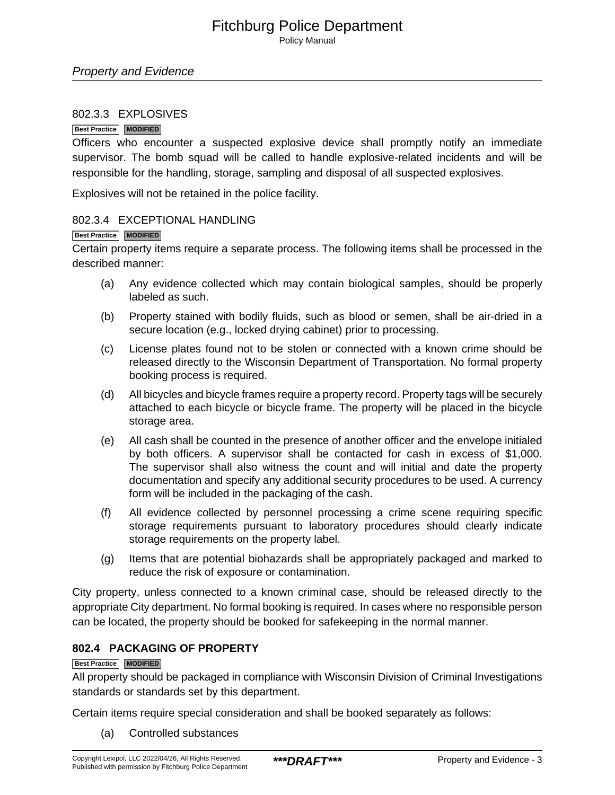Policy Manual

#### Property and Evidence

#### 802.3.3 EXPLOSIVES

#### **Best Practice MODIFIED**

Officers who encounter a suspected explosive device shall promptly notify an immediate supervisor. The bomb squad will be called to handle explosive-related incidents and will be responsible for the handling, storage, sampling and disposal of all suspected explosives.

Explosives will not be retained in the police facility.

#### 802.3.4 EXCEPTIONAL HANDLING

#### **Best Practice MODIFIED**

Certain property items require a separate process. The following items shall be processed in the described manner:

- (a) Any evidence collected which may contain biological samples, should be properly labeled as such.
- (b) Property stained with bodily fluids, such as blood or semen, shall be air-dried in a secure location (e.g., locked drying cabinet) prior to processing.
- (c) License plates found not to be stolen or connected with a known crime should be released directly to the Wisconsin Department of Transportation. No formal property booking process is required.
- (d) All bicycles and bicycle frames require a property record. Property tags will be securely attached to each bicycle or bicycle frame. The property will be placed in the bicycle storage area.
- (e) All cash shall be counted in the presence of another officer and the envelope initialed by both officers. A supervisor shall be contacted for cash in excess of \$1,000. The supervisor shall also witness the count and will initial and date the property documentation and specify any additional security procedures to be used. A currency form will be included in the packaging of the cash.
- (f) All evidence collected by personnel processing a crime scene requiring specific storage requirements pursuant to laboratory procedures should clearly indicate storage requirements on the property label.
- (g) Items that are potential biohazards shall be appropriately packaged and marked to reduce the risk of exposure or contamination.

City property, unless connected to a known criminal case, should be released directly to the appropriate City department. No formal booking is required. In cases where no responsible person can be located, the property should be booked for safekeeping in the normal manner.

## **802.4 PACKAGING OF PROPERTY**

#### **Best Practice MODIFIED**

All property should be packaged in compliance with Wisconsin Division of Criminal Investigations standards or standards set by this department.

Certain items require special consideration and shall be booked separately as follows:

(a) Controlled substances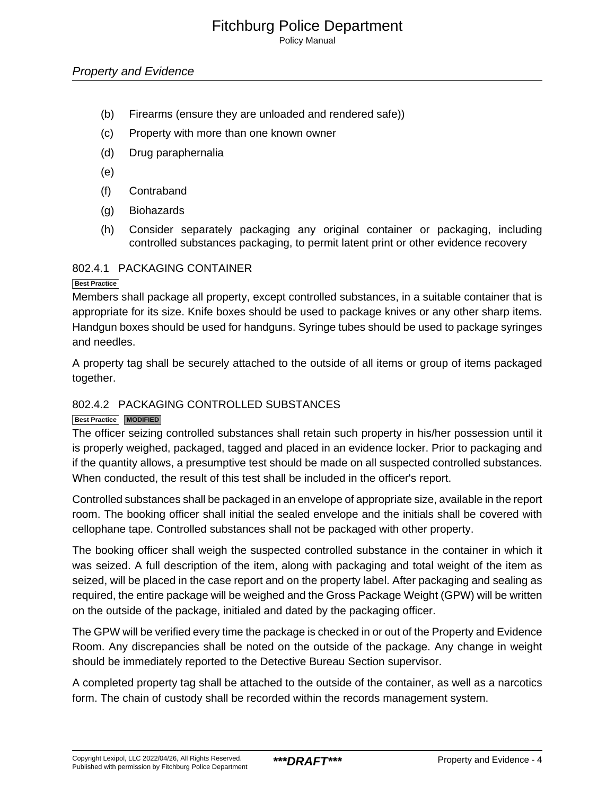Policy Manual

- (b) Firearms (ensure they are unloaded and rendered safe))
- (c) Property with more than one known owner
- (d) Drug paraphernalia
- (e)
- (f) Contraband
- (g) Biohazards
- (h) Consider separately packaging any original container or packaging, including controlled substances packaging, to permit latent print or other evidence recovery

## 802.4.1 PACKAGING CONTAINER

#### **Best Practice**

Members shall package all property, except controlled substances, in a suitable container that is appropriate for its size. Knife boxes should be used to package knives or any other sharp items. Handgun boxes should be used for handguns. Syringe tubes should be used to package syringes and needles.

A property tag shall be securely attached to the outside of all items or group of items packaged together.

## 802.4.2 PACKAGING CONTROLLED SUBSTANCES

#### **Best Practice MODIFIED**

The officer seizing controlled substances shall retain such property in his/her possession until it is properly weighed, packaged, tagged and placed in an evidence locker. Prior to packaging and if the quantity allows, a presumptive test should be made on all suspected controlled substances. When conducted, the result of this test shall be included in the officer's report.

Controlled substances shall be packaged in an envelope of appropriate size, available in the report room. The booking officer shall initial the sealed envelope and the initials shall be covered with cellophane tape. Controlled substances shall not be packaged with other property.

The booking officer shall weigh the suspected controlled substance in the container in which it was seized. A full description of the item, along with packaging and total weight of the item as seized, will be placed in the case report and on the property label. After packaging and sealing as required, the entire package will be weighed and the Gross Package Weight (GPW) will be written on the outside of the package, initialed and dated by the packaging officer.

The GPW will be verified every time the package is checked in or out of the Property and Evidence Room. Any discrepancies shall be noted on the outside of the package. Any change in weight should be immediately reported to the Detective Bureau Section supervisor.

A completed property tag shall be attached to the outside of the container, as well as a narcotics form. The chain of custody shall be recorded within the records management system.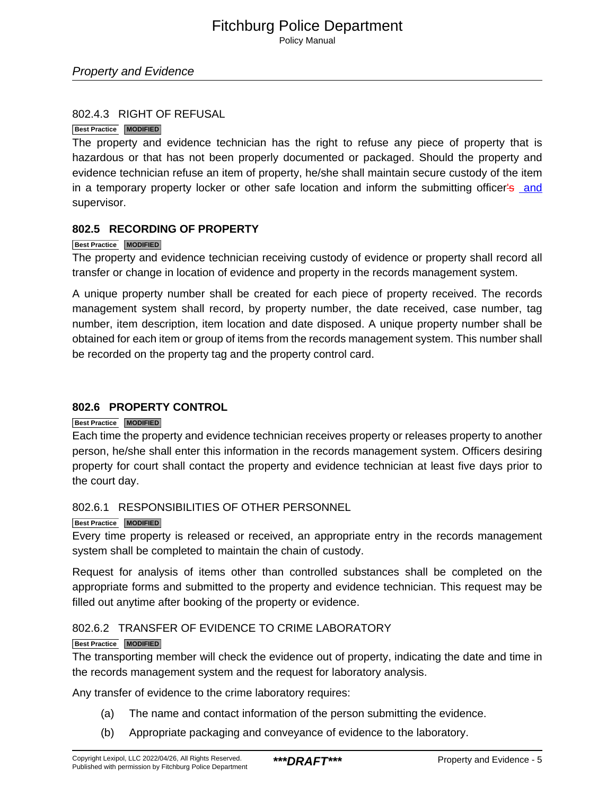Policy Manual

#### 802.4.3 RIGHT OF REFUSAL

#### **Best Practice MODIFIED**

The property and evidence technician has the right to refuse any piece of property that is hazardous or that has not been properly documented or packaged. Should the property and evidence technician refuse an item of property, he/she shall maintain secure custody of the item in a temporary property locker or other safe location and inform the submitting officer's and supervisor.

## **802.5 RECORDING OF PROPERTY**

#### **Best Practice MODIFIED**

The property and evidence technician receiving custody of evidence or property shall record all transfer or change in location of evidence and property in the records management system.

A unique property number shall be created for each piece of property received. The records management system shall record, by property number, the date received, case number, tag number, item description, item location and date disposed. A unique property number shall be obtained for each item or group of items from the records management system. This number shall be recorded on the property tag and the property control card.

## **802.6 PROPERTY CONTROL**

#### **Best Practice MODIFIED**

Each time the property and evidence technician receives property or releases property to another person, he/she shall enter this information in the records management system. Officers desiring property for court shall contact the property and evidence technician at least five days prior to the court day.

## 802.6.1 RESPONSIBILITIES OF OTHER PERSONNEL

#### **Best Practice MODIFIED**

Every time property is released or received, an appropriate entry in the records management system shall be completed to maintain the chain of custody.

Request for analysis of items other than controlled substances shall be completed on the appropriate forms and submitted to the property and evidence technician. This request may be filled out anytime after booking of the property or evidence.

## 802.6.2 TRANSFER OF EVIDENCE TO CRIME LABORATORY

#### **Best Practice MODIFIED**

The transporting member will check the evidence out of property, indicating the date and time in the records management system and the request for laboratory analysis.

Any transfer of evidence to the crime laboratory requires:

- (a) The name and contact information of the person submitting the evidence.
- (b) Appropriate packaging and conveyance of evidence to the laboratory.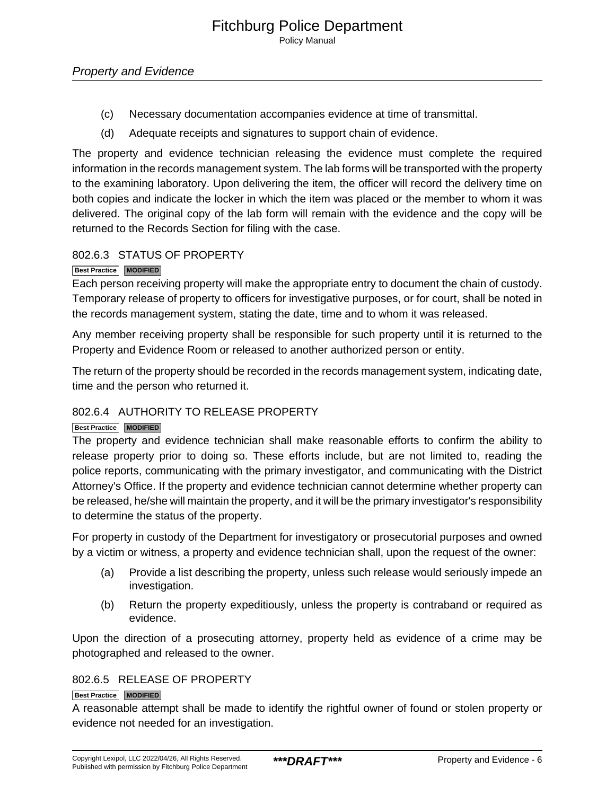- (c) Necessary documentation accompanies evidence at time of transmittal.
- (d) Adequate receipts and signatures to support chain of evidence.

The property and evidence technician releasing the evidence must complete the required information in the records management system. The lab forms will be transported with the property to the examining laboratory. Upon delivering the item, the officer will record the delivery time on both copies and indicate the locker in which the item was placed or the member to whom it was delivered. The original copy of the lab form will remain with the evidence and the copy will be returned to the Records Section for filing with the case.

## 802.6.3 STATUS OF PROPERTY

#### **Best Practice MODIFIED**

Each person receiving property will make the appropriate entry to document the chain of custody. Temporary release of property to officers for investigative purposes, or for court, shall be noted in the records management system, stating the date, time and to whom it was released.

Any member receiving property shall be responsible for such property until it is returned to the Property and Evidence Room or released to another authorized person or entity.

The return of the property should be recorded in the records management system, indicating date, time and the person who returned it.

## 802.6.4 AUTHORITY TO RELEASE PROPERTY

## **Best Practice MODIFIED**

The property and evidence technician shall make reasonable efforts to confirm the ability to release property prior to doing so. These efforts include, but are not limited to, reading the police reports, communicating with the primary investigator, and communicating with the District Attorney's Office. If the property and evidence technician cannot determine whether property can be released, he/she will maintain the property, and it will be the primary investigator's responsibility to determine the status of the property.

For property in custody of the Department for investigatory or prosecutorial purposes and owned by a victim or witness, a property and evidence technician shall, upon the request of the owner:

- (a) Provide a list describing the property, unless such release would seriously impede an investigation.
- (b) Return the property expeditiously, unless the property is contraband or required as evidence.

Upon the direction of a prosecuting attorney, property held as evidence of a crime may be photographed and released to the owner.

## 802.6.5 RELEASE OF PROPERTY

#### **Best Practice MODIFIED**

A reasonable attempt shall be made to identify the rightful owner of found or stolen property or evidence not needed for an investigation.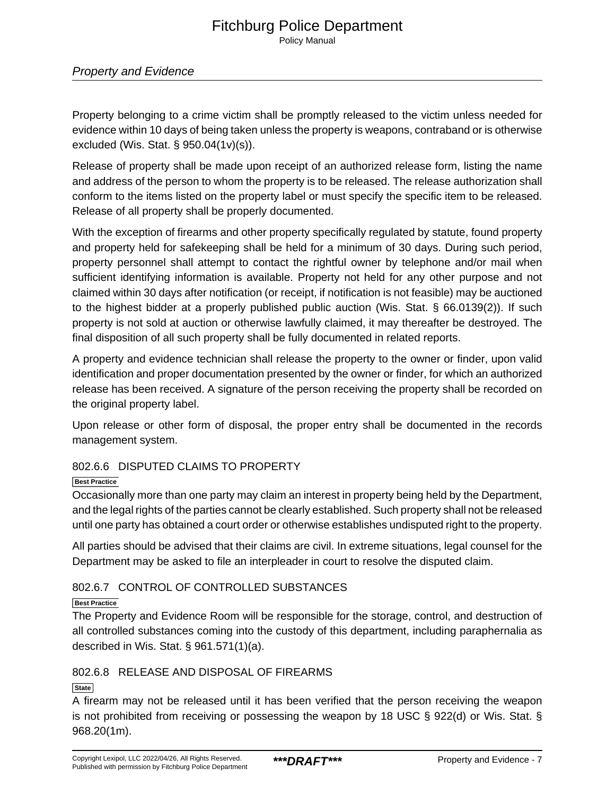Policy Manual

## Property and Evidence

Property belonging to a crime victim shall be promptly released to the victim unless needed for evidence within 10 days of being taken unless the property is weapons, contraband or is otherwise excluded (Wis. Stat. § 950.04(1v)(s)).

Release of property shall be made upon receipt of an authorized release form, listing the name and address of the person to whom the property is to be released. The release authorization shall conform to the items listed on the property label or must specify the specific item to be released. Release of all property shall be properly documented.

With the exception of firearms and other property specifically regulated by statute, found property and property held for safekeeping shall be held for a minimum of 30 days. During such period, property personnel shall attempt to contact the rightful owner by telephone and/or mail when sufficient identifying information is available. Property not held for any other purpose and not claimed within 30 days after notification (or receipt, if notification is not feasible) may be auctioned to the highest bidder at a properly published public auction (Wis. Stat. § 66.0139(2)). If such property is not sold at auction or otherwise lawfully claimed, it may thereafter be destroyed. The final disposition of all such property shall be fully documented in related reports.

A property and evidence technician shall release the property to the owner or finder, upon valid identification and proper documentation presented by the owner or finder, for which an authorized release has been received. A signature of the person receiving the property shall be recorded on the original property label.

Upon release or other form of disposal, the proper entry shall be documented in the records management system.

## 802.6.6 DISPUTED CLAIMS TO PROPERTY

#### **Best Practice**

Occasionally more than one party may claim an interest in property being held by the Department, and the legal rights of the parties cannot be clearly established. Such property shall not be released until one party has obtained a court order or otherwise establishes undisputed right to the property.

All parties should be advised that their claims are civil. In extreme situations, legal counsel for the Department may be asked to file an interpleader in court to resolve the disputed claim.

## 802.6.7 CONTROL OF CONTROLLED SUBSTANCES

## **Best Practice**

The Property and Evidence Room will be responsible for the storage, control, and destruction of all controlled substances coming into the custody of this department, including paraphernalia as described in Wis. Stat. § 961.571(1)(a).

## 802.6.8 RELEASE AND DISPOSAL OF FIREARMS

#### **State**

A firearm may not be released until it has been verified that the person receiving the weapon is not prohibited from receiving or possessing the weapon by 18 USC § 922(d) or Wis. Stat. § 968.20(1m).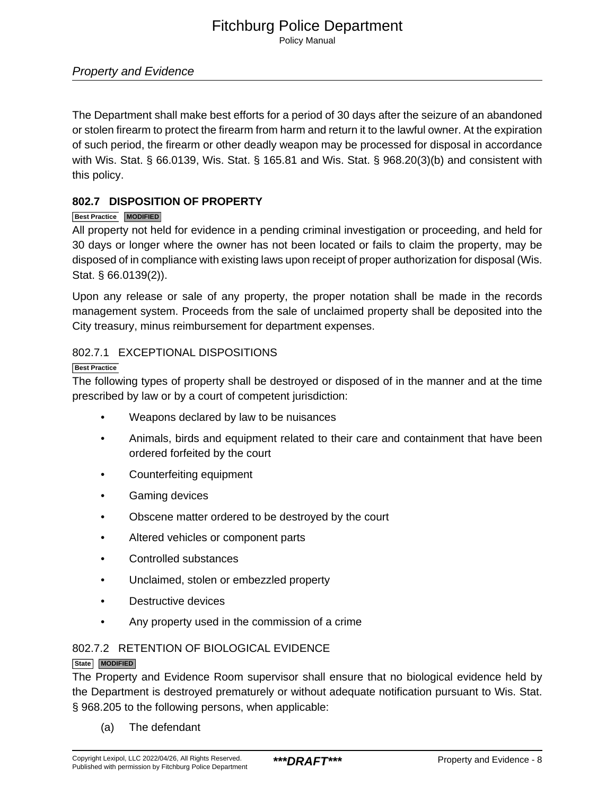Policy Manual

## Property and Evidence

The Department shall make best efforts for a period of 30 days after the seizure of an abandoned or stolen firearm to protect the firearm from harm and return it to the lawful owner. At the expiration of such period, the firearm or other deadly weapon may be processed for disposal in accordance with Wis. Stat. § 66.0139, Wis. Stat. § 165.81 and Wis. Stat. § 968.20(3)(b) and consistent with this policy.

## **802.7 DISPOSITION OF PROPERTY**

## **Best Practice MODIFIED**

All property not held for evidence in a pending criminal investigation or proceeding, and held for 30 days or longer where the owner has not been located or fails to claim the property, may be disposed of in compliance with existing laws upon receipt of proper authorization for disposal (Wis. Stat. § 66.0139(2)).

Upon any release or sale of any property, the proper notation shall be made in the records management system. Proceeds from the sale of unclaimed property shall be deposited into the City treasury, minus reimbursement for department expenses.

## 802.7.1 EXCEPTIONAL DISPOSITIONS

#### **Best Practice**

The following types of property shall be destroyed or disposed of in the manner and at the time prescribed by law or by a court of competent jurisdiction:

- Weapons declared by law to be nuisances
- Animals, birds and equipment related to their care and containment that have been ordered forfeited by the court
- Counterfeiting equipment
- Gaming devices
- Obscene matter ordered to be destroyed by the court
- Altered vehicles or component parts
- Controlled substances
- Unclaimed, stolen or embezzled property
- Destructive devices
- Any property used in the commission of a crime

## 802.7.2 RETENTION OF BIOLOGICAL EVIDENCE

## **State MODIFIED**

The Property and Evidence Room supervisor shall ensure that no biological evidence held by the Department is destroyed prematurely or without adequate notification pursuant to Wis. Stat. § 968.205 to the following persons, when applicable:

(a) The defendant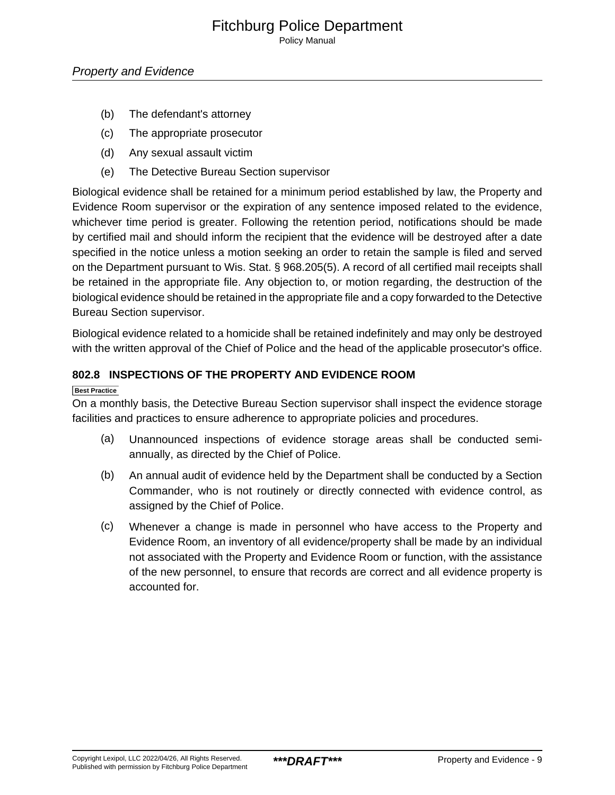Policy Manual

- (b) The defendant's attorney
- (c) The appropriate prosecutor
- (d) Any sexual assault victim
- (e) The Detective Bureau Section supervisor

Biological evidence shall be retained for a minimum period established by law, the Property and Evidence Room supervisor or the expiration of any sentence imposed related to the evidence, whichever time period is greater. Following the retention period, notifications should be made by certified mail and should inform the recipient that the evidence will be destroyed after a date specified in the notice unless a motion seeking an order to retain the sample is filed and served on the Department pursuant to Wis. Stat. § 968.205(5). A record of all certified mail receipts shall be retained in the appropriate file. Any objection to, or motion regarding, the destruction of the biological evidence should be retained in the appropriate file and a copy forwarded to the Detective Bureau Section supervisor.

Biological evidence related to a homicide shall be retained indefinitely and may only be destroyed with the written approval of the Chief of Police and the head of the applicable prosecutor's office.

## **802.8 INSPECTIONS OF THE PROPERTY AND EVIDENCE ROOM**

#### **Best Practice**

On a monthly basis, the Detective Bureau Section supervisor shall inspect the evidence storage facilities and practices to ensure adherence to appropriate policies and procedures.

- (a) Unannounced inspections of evidence storage areas shall be conducted semiannually, as directed by the Chief of Police.
- (b) An annual audit of evidence held by the Department shall be conducted by a Section Commander, who is not routinely or directly connected with evidence control, as assigned by the Chief of Police.
- (c) Whenever a change is made in personnel who have access to the Property and Evidence Room, an inventory of all evidence/property shall be made by an individual not associated with the Property and Evidence Room or function, with the assistance of the new personnel, to ensure that records are correct and all evidence property is accounted for.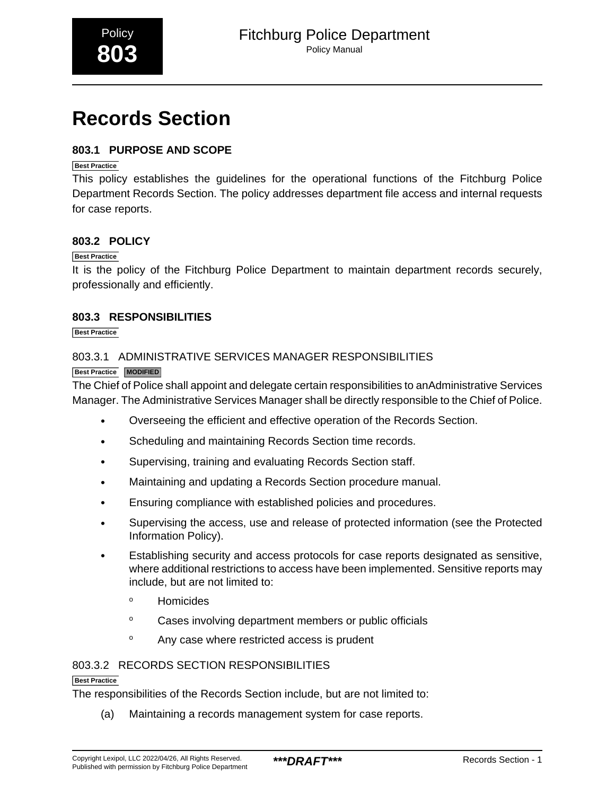# <span id="page-16-0"></span>**Records Section**

## **803.1 PURPOSE AND SCOPE**

## **Best Practice**

This policy establishes the guidelines for the operational functions of the Fitchburg Police Department Records Section. The policy addresses department file access and internal requests for case reports.

## **803.2 POLICY**

#### **Best Practice**

It is the policy of the Fitchburg Police Department to maintain department records securely, professionally and efficiently.

## **803.3 RESPONSIBILITIES**

**Best Practice**

## 803.3.1 ADMINISTRATIVE SERVICES MANAGER RESPONSIBILITIES

#### **Best Practice MODIFIED**

The Chief of Police shall appoint and delegate certain responsibilities to anAdministrative Services Manager. The Administrative Services Manager shall be directly responsible to the Chief of Police.

- Overseeing the efficient and effective operation of the Records Section.
- Scheduling and maintaining Records Section time records.
- Supervising, training and evaluating Records Section staff.
- Maintaining and updating a Records Section procedure manual.
- Ensuring compliance with established policies and procedures.
- Supervising the access, use and release of protected information (see the Protected Information Policy).
- Establishing security and access protocols for case reports designated as sensitive, where additional restrictions to access have been implemented. Sensitive reports may include, but are not limited to:
	- <sup>o</sup> Homicides
	- <sup>o</sup> Cases involving department members or public officials
	- <sup>o</sup> Any case where restricted access is prudent

## 803.3.2 RECORDS SECTION RESPONSIBILITIES

#### **Best Practice**

The responsibilities of the Records Section include, but are not limited to:

(a) Maintaining a records management system for case reports.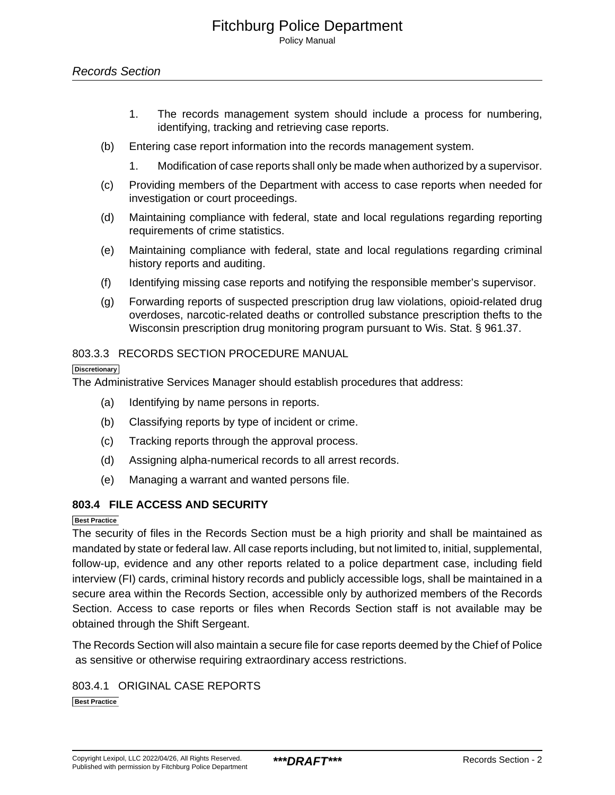- 1. The records management system should include a process for numbering, identifying, tracking and retrieving case reports.
- (b) Entering case report information into the records management system.
	- 1. Modification of case reports shall only be made when authorized by a supervisor.
- (c) Providing members of the Department with access to case reports when needed for investigation or court proceedings.
- (d) Maintaining compliance with federal, state and local regulations regarding reporting requirements of crime statistics.
- (e) Maintaining compliance with federal, state and local regulations regarding criminal history reports and auditing.
- (f) Identifying missing case reports and notifying the responsible member's supervisor.
- (g) Forwarding reports of suspected prescription drug law violations, opioid-related drug overdoses, narcotic-related deaths or controlled substance prescription thefts to the Wisconsin prescription drug monitoring program pursuant to Wis. Stat. § 961.37.

## 803.3.3 RECORDS SECTION PROCEDURE MANUAL

#### **Discretionary**

The Administrative Services Manager should establish procedures that address:

- (a) Identifying by name persons in reports.
- (b) Classifying reports by type of incident or crime.
- (c) Tracking reports through the approval process.
- (d) Assigning alpha-numerical records to all arrest records.
- (e) Managing a warrant and wanted persons file.

## **803.4 FILE ACCESS AND SECURITY**

#### **Best Practice**

The security of files in the Records Section must be a high priority and shall be maintained as mandated by state or federal law. All case reports including, but not limited to, initial, supplemental, follow-up, evidence and any other reports related to a police department case, including field interview (FI) cards, criminal history records and publicly accessible logs, shall be maintained in a secure area within the Records Section, accessible only by authorized members of the Records Section. Access to case reports or files when Records Section staff is not available may be obtained through the Shift Sergeant.

The Records Section will also maintain a secure file for case reports deemed by the Chief of Police as sensitive or otherwise requiring extraordinary access restrictions.

803.4.1 ORIGINAL CASE REPORTS **Best Practice**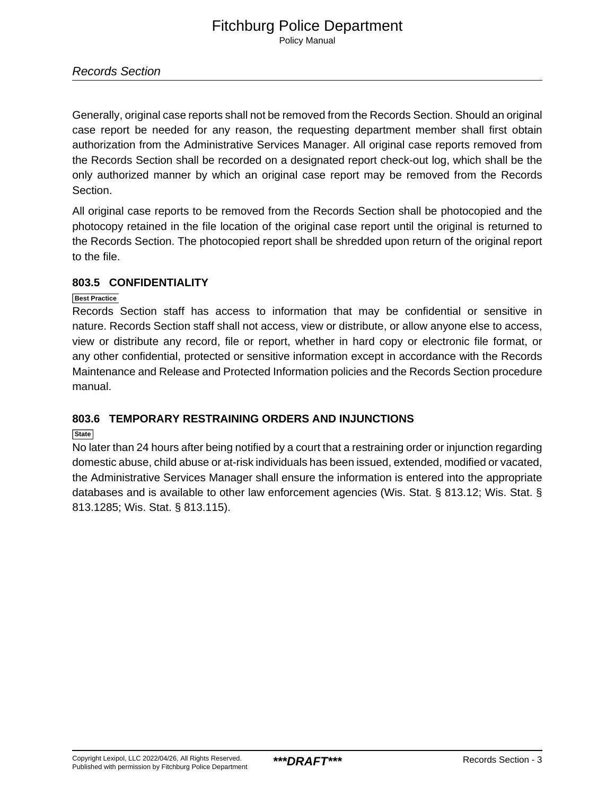Generally, original case reports shall not be removed from the Records Section. Should an original case report be needed for any reason, the requesting department member shall first obtain authorization from the Administrative Services Manager. All original case reports removed from the Records Section shall be recorded on a designated report check-out log, which shall be the only authorized manner by which an original case report may be removed from the Records Section.

All original case reports to be removed from the Records Section shall be photocopied and the photocopy retained in the file location of the original case report until the original is returned to the Records Section. The photocopied report shall be shredded upon return of the original report to the file.

## **803.5 CONFIDENTIALITY**

## **Best Practice**

Records Section staff has access to information that may be confidential or sensitive in nature. Records Section staff shall not access, view or distribute, or allow anyone else to access, view or distribute any record, file or report, whether in hard copy or electronic file format, or any other confidential, protected or sensitive information except in accordance with the Records Maintenance and Release and Protected Information policies and the Records Section procedure manual.

## **803.6 TEMPORARY RESTRAINING ORDERS AND INJUNCTIONS**

## **State**

No later than 24 hours after being notified by a court that a restraining order or injunction regarding domestic abuse, child abuse or at-risk individuals has been issued, extended, modified or vacated, the Administrative Services Manager shall ensure the information is entered into the appropriate databases and is available to other law enforcement agencies (Wis. Stat. § 813.12; Wis. Stat. § 813.1285; Wis. Stat. § 813.115).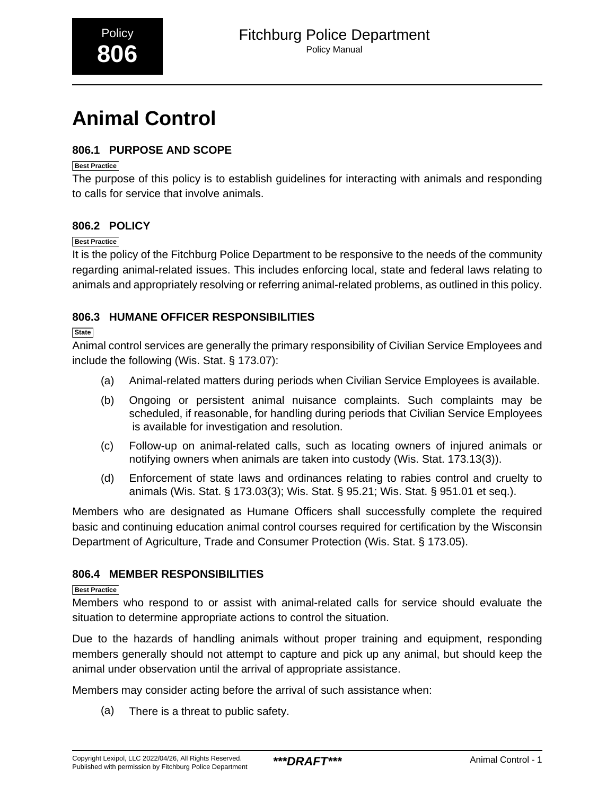# <span id="page-19-0"></span>**Animal Control**

## **806.1 PURPOSE AND SCOPE**

## **Best Practice**

The purpose of this policy is to establish guidelines for interacting with animals and responding to calls for service that involve animals.

## **806.2 POLICY**

## **Best Practice**

It is the policy of the Fitchburg Police Department to be responsive to the needs of the community regarding animal-related issues. This includes enforcing local, state and federal laws relating to animals and appropriately resolving or referring animal-related problems, as outlined in this policy.

## **806.3 HUMANE OFFICER RESPONSIBILITIES**

## **State**

Animal control services are generally the primary responsibility of Civilian Service Employees and include the following (Wis. Stat. § 173.07):

- (a) Animal-related matters during periods when Civilian Service Employees is available.
- (b) Ongoing or persistent animal nuisance complaints. Such complaints may be scheduled, if reasonable, for handling during periods that Civilian Service Employees is available for investigation and resolution.
- (c) Follow-up on animal-related calls, such as locating owners of injured animals or notifying owners when animals are taken into custody (Wis. Stat. 173.13(3)).
- (d) Enforcement of state laws and ordinances relating to rabies control and cruelty to animals (Wis. Stat. § 173.03(3); Wis. Stat. § 95.21; Wis. Stat. § 951.01 et seq.).

Members who are designated as Humane Officers shall successfully complete the required basic and continuing education animal control courses required for certification by the Wisconsin Department of Agriculture, Trade and Consumer Protection (Wis. Stat. § 173.05).

## **806.4 MEMBER RESPONSIBILITIES**

#### **Best Practice**

Members who respond to or assist with animal-related calls for service should evaluate the situation to determine appropriate actions to control the situation.

Due to the hazards of handling animals without proper training and equipment, responding members generally should not attempt to capture and pick up any animal, but should keep the animal under observation until the arrival of appropriate assistance.

Members may consider acting before the arrival of such assistance when:

(a) There is a threat to public safety.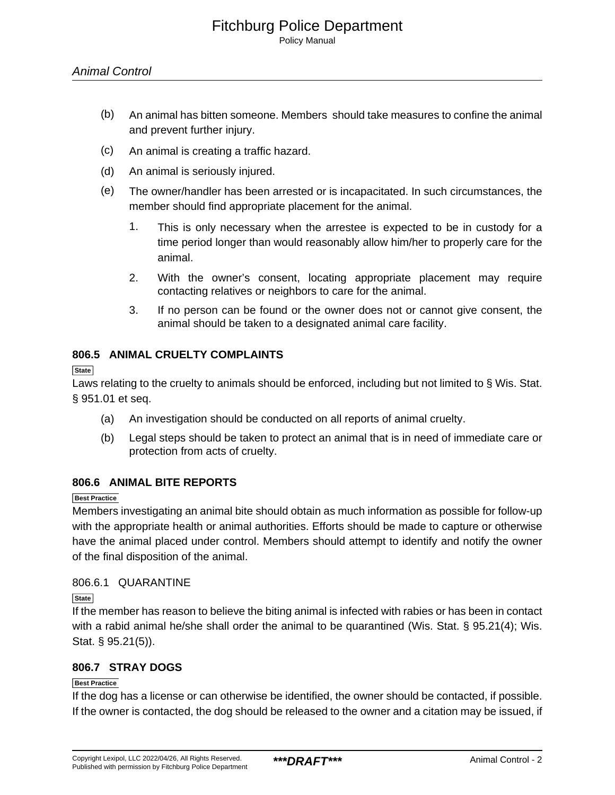- (b) An animal has bitten someone. Members should take measures to confine the animal and prevent further injury.
- (c) An animal is creating a traffic hazard.
- (d) An animal is seriously injured.
- (e) The owner/handler has been arrested or is incapacitated. In such circumstances, the member should find appropriate placement for the animal.
	- 1. This is only necessary when the arrestee is expected to be in custody for a time period longer than would reasonably allow him/her to properly care for the animal.
	- 2. With the owner's consent, locating appropriate placement may require contacting relatives or neighbors to care for the animal.
	- 3. If no person can be found or the owner does not or cannot give consent, the animal should be taken to a designated animal care facility.

## **806.5 ANIMAL CRUELTY COMPLAINTS**

**State**

Laws relating to the cruelty to animals should be enforced, including but not limited to § Wis. Stat. § 951.01 et seq.

- (a) An investigation should be conducted on all reports of animal cruelty.
- (b) Legal steps should be taken to protect an animal that is in need of immediate care or protection from acts of cruelty.

## **806.6 ANIMAL BITE REPORTS**

#### **Best Practice**

Members investigating an animal bite should obtain as much information as possible for follow-up with the appropriate health or animal authorities. Efforts should be made to capture or otherwise have the animal placed under control. Members should attempt to identify and notify the owner of the final disposition of the animal.

## 806.6.1 QUARANTINE

**State**

If the member has reason to believe the biting animal is infected with rabies or has been in contact with a rabid animal he/she shall order the animal to be quarantined (Wis. Stat. § 95.21(4); Wis. Stat. § 95.21(5)).

## **806.7 STRAY DOGS**

#### **Best Practice**

If the dog has a license or can otherwise be identified, the owner should be contacted, if possible. If the owner is contacted, the dog should be released to the owner and a citation may be issued, if